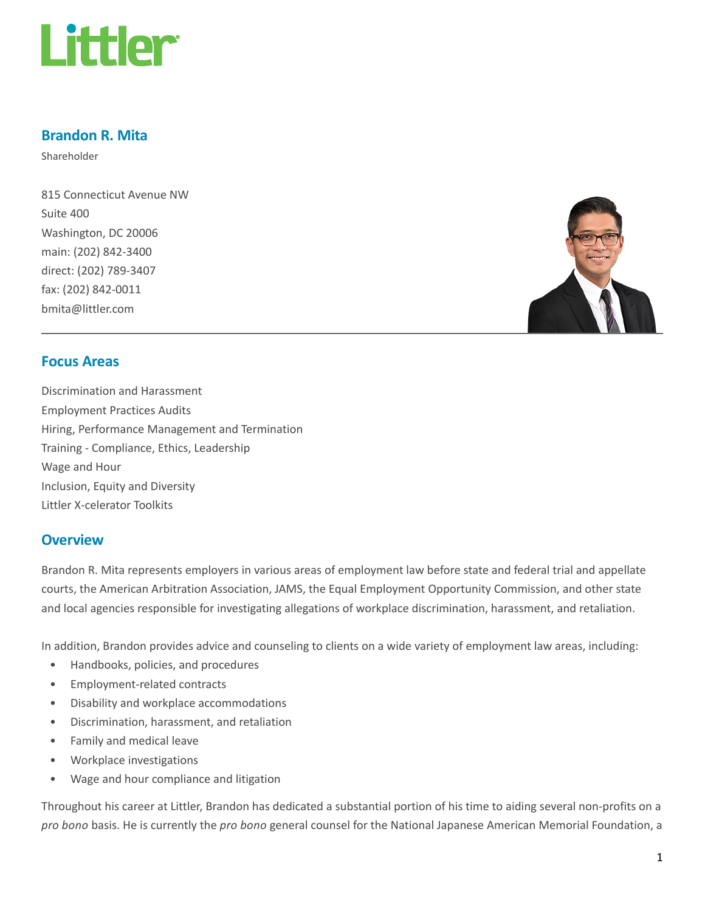

# Brandon R. Mita

Shareholder

815 Connecticut Avenue NW Suite 400 Washington, DC 20006 main: (202) 842-3400 direct: (202) 789-3407 fax: (202) 842-0011 bmita@littler.com



### Focus Areas

Discrimination and Harassment Employment Practices Audits Hiring, Performance Management and Termination Training - Compliance, Ethics, Leadership Wage and Hour Inclusion, Equity and Diversity Littler X-celerator Toolkits

### **Overview**

Brandon R. Mita represents employers in various areas of employment law before state and federal trial and appellate courts, the American Arbitration Association, JAMS, the Equal Employment Opportunity Commission, and other state and local agencies responsible for investigating allegations of workplace discrimination, harassment, and retaliation.

In addition, Brandon provides advice and counseling to clients on a wide variety of employment law areas, including:

- Handbooks, policies, and procedures
- Employment-related contracts
- Disability and workplace accommodations
- Discrimination, harassment, and retaliation
- Family and medical leave
- Workplace investigations
- Wage and hour compliance and litigation

Throughout his career at Littler, Brandon has dedicated a substantial portion of his time to aiding several non-profits on a pro bono basis. He is currently the pro bono general counsel for the National Japanese American Memorial Foundation, a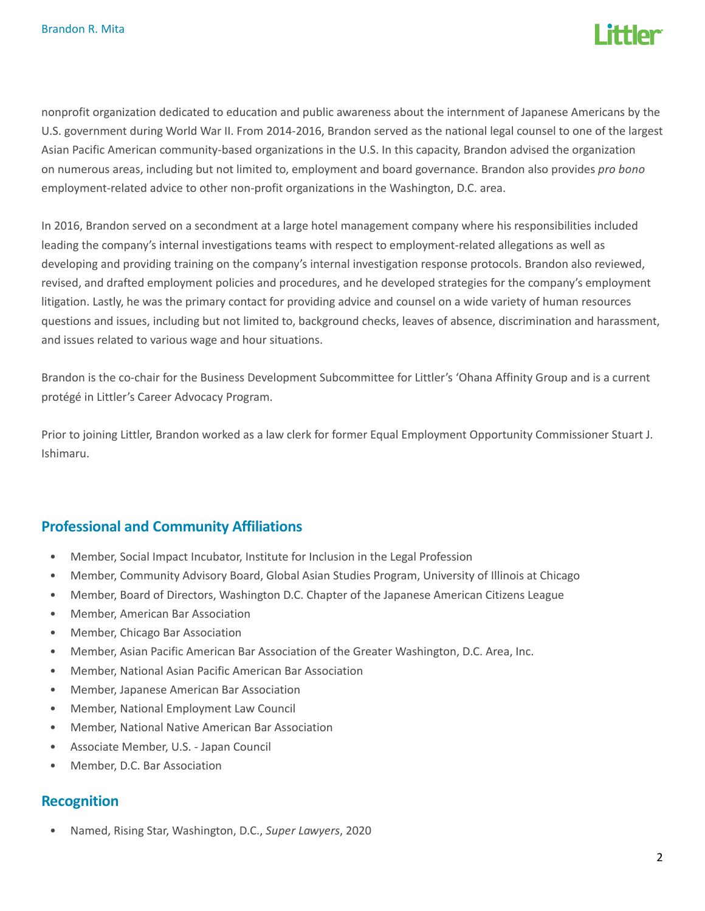

nonprofit organization dedicated to education and public awareness about the internment of Japanese Americans by the U.S. government during World War II. From 2014-2016, Brandon served as the national legal counsel to one of the largest Asian Pacific American community-based organizations in the U.S. In this capacity, Brandon advised the organization on numerous areas, including but not limited to, employment and board governance. Brandon also provides pro bono employment-related advice to other non-profit organizations in the Washington, D.C. area.

In 2016, Brandon served on a secondment at a large hotel management company where his responsibilities included leading the company's internal investigations teams with respect to employment-related allegations as well as developing and providing training on the company's internal investigation response protocols. Brandon also reviewed, revised, and drafted employment policies and procedures, and he developed strategies for the company's employment litigation. Lastly, he was the primary contact for providing advice and counsel on a wide variety of human resources questions and issues, including but not limited to, background checks, leaves of absence, discrimination and harassment, and issues related to various wage and hour situations.

Brandon is the co-chair for the Business Development Subcommittee for Littler's 'Ohana Affinity Group and is a current protégé in Littler's Career Advocacy Program.

Prior to joining Littler, Brandon worked as a law clerk for former Equal Employment Opportunity Commissioner Stuart J. Ishimaru.

# Professional and Community Affiliations

- Member, Social Impact Incubator, Institute for Inclusion in the Legal Profession
- Member, Community Advisory Board, Global Asian Studies Program, University of Illinois at Chicago
- Member, Board of Directors, Washington D.C. Chapter of the Japanese American Citizens League
- Member, American Bar Association
- Member, Chicago Bar Association
- Member, Asian Pacific American Bar Association of the Greater Washington, D.C. Area, Inc.
- Member, National Asian Pacific American Bar Association
- Member, Japanese American Bar Association
- Member, National Employment Law Council
- Member, National Native American Bar Association
- Associate Member, U.S. Japan Council
- Member, D.C. Bar Association

### Recognition

• Named, Rising Star, Washington, D.C., Super Lawyers, 2020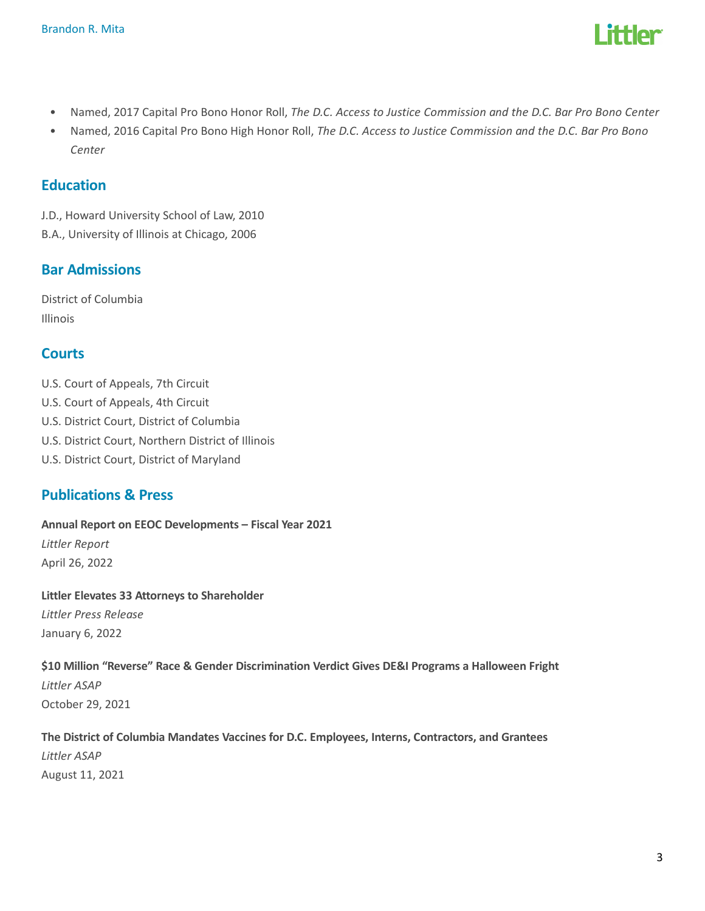

- Named, 2017 Capital Pro Bono Honor Roll, The D.C. Access to Justice Commission and the D.C. Bar Pro Bono Center
- Named, 2016 Capital Pro Bono High Honor Roll, The D.C. Access to Justice Commission and the D.C. Bar Pro Bono Center

# Education

J.D., Howard University School of Law, 2010 B.A., University of Illinois at Chicago, 2006

# Bar Admissions

District of Columbia Illinois

# **Courts**

- U.S. Court of Appeals, 7th Circuit
- U.S. Court of Appeals, 4th Circuit
- U.S. District Court, District of Columbia
- U.S. District Court, Northern District of Illinois
- U.S. District Court, District of Maryland

# Publications & Press

Annual Report on EEOC Developments – Fiscal Year 2021 Littler Report April 26, 2022

Littler Elevates 33 Attorneys to Shareholder Littler Press Release January 6, 2022

### \$10 Million "Reverse" Race & Gender Discrimination Verdict Gives DE&I Programs a Halloween Fright

Littler ASAP October 29, 2021

The District of Columbia Mandates Vaccines for D.C. Employees, Interns, Contractors, and Grantees Littler ASAP August 11, 2021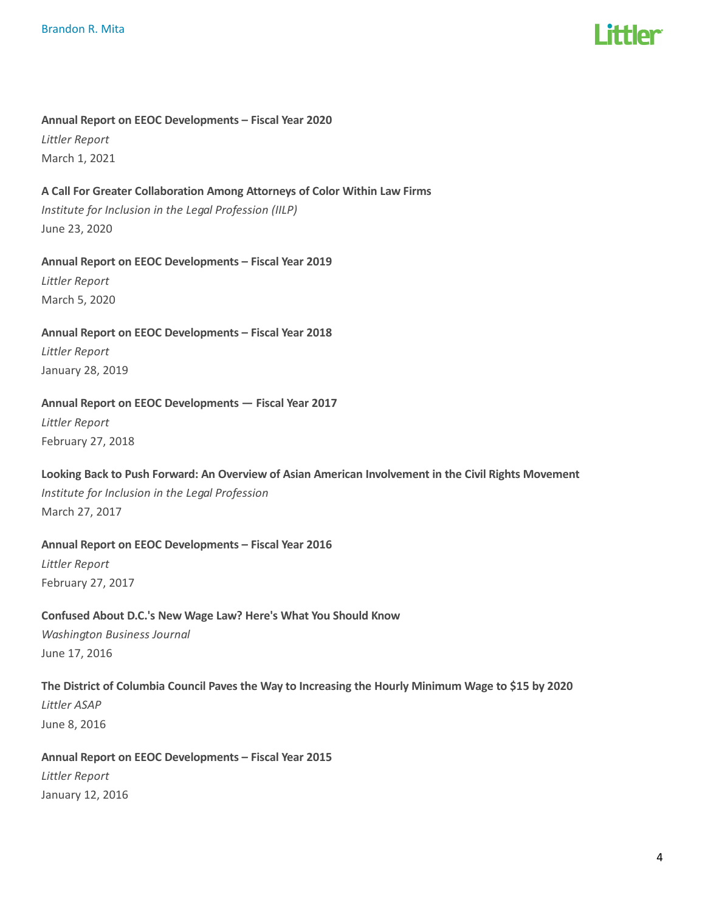

#### Annual Report on EEOC Developments – Fiscal Year 2020

Littler Report March 1, 2021

#### A Call For Greater Collaboration Among Attorneys of Color Within Law Firms

Institute for Inclusion in the Legal Profession (IILP) June 23, 2020

#### Annual Report on EEOC Developments – Fiscal Year 2019

Littler Report March 5, 2020

Annual Report on EEOC Developments – Fiscal Year 2018 Littler Report January 28, 2019

#### Annual Report on EEOC Developments — Fiscal Year 2017

Littler Report February 27, 2018

#### Looking Back to Push Forward: An Overview of Asian American Involvement in the Civil Rights Movement

Institute for Inclusion in the Legal Profession March 27, 2017

#### Annual Report on EEOC Developments – Fiscal Year 2016

Littler Report February 27, 2017

# Confused About D.C.'s New Wage Law? Here's What You Should Know Washington Business Journal June 17, 2016

The District of Columbia Council Paves the Way to Increasing the Hourly Minimum Wage to \$15 by 2020 Littler ASAP June 8, 2016

# Annual Report on EEOC Developments – Fiscal Year 2015 Littler Report January 12, 2016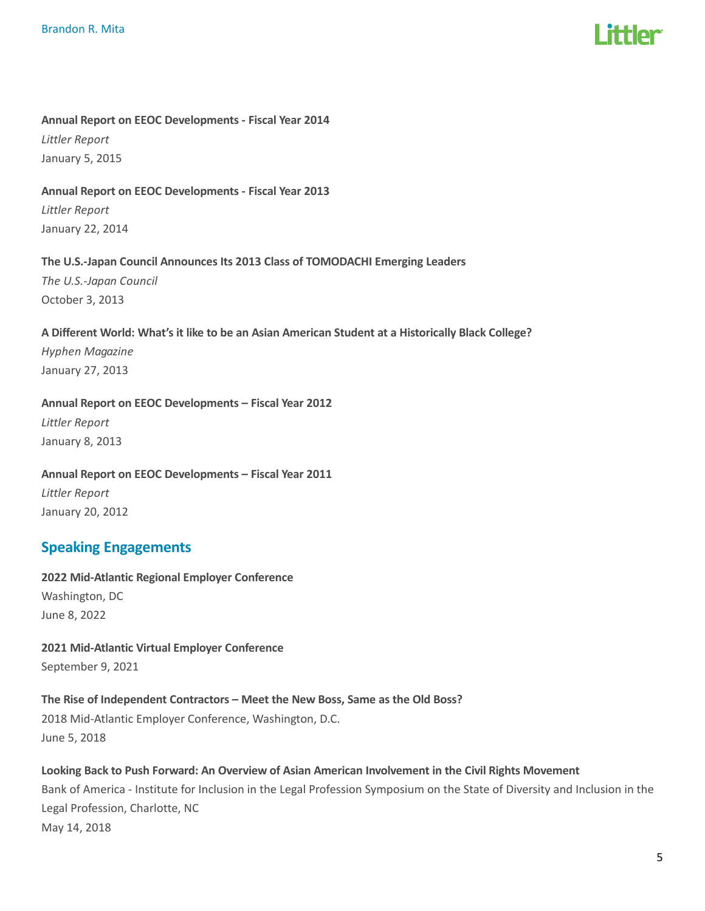#### Annual Report on EEOC Developments - Fiscal Year 2014

Littler Report January 5, 2015

#### Annual Report on EEOC Developments - Fiscal Year 2013

Littler Report January 22, 2014

#### The U.S.-Japan Council Announces Its 2013 Class of TOMODACHI Emerging Leaders

The U.S.-Japan Council October 3, 2013

#### A Different World: What's it like to be an Asian American Student at a Historically Black College?

Hyphen Magazine January 27, 2013

#### Annual Report on EEOC Developments – Fiscal Year 2012

Littler Report January 8, 2013

# Annual Report on EEOC Developments – Fiscal Year 2011 Littler Report

# January 20, 2012

# Speaking Engagements

2022 Mid-Atlantic Regional Employer Conference Washington, DC June 8, 2022

#### 2021 Mid-Atlantic Virtual Employer Conference September 9, 2021

# The Rise of Independent Contractors – Meet the New Boss, Same as the Old Boss?

2018 Mid-Atlantic Employer Conference, Washington, D.C. June 5, 2018

#### Looking Back to Push Forward: An Overview of Asian American Involvement in the Civil Rights Movement

Bank of America - Institute for Inclusion in the Legal Profession Symposium on the State of Diversity and Inclusion in the Legal Profession, Charlotte, NC May 14, 2018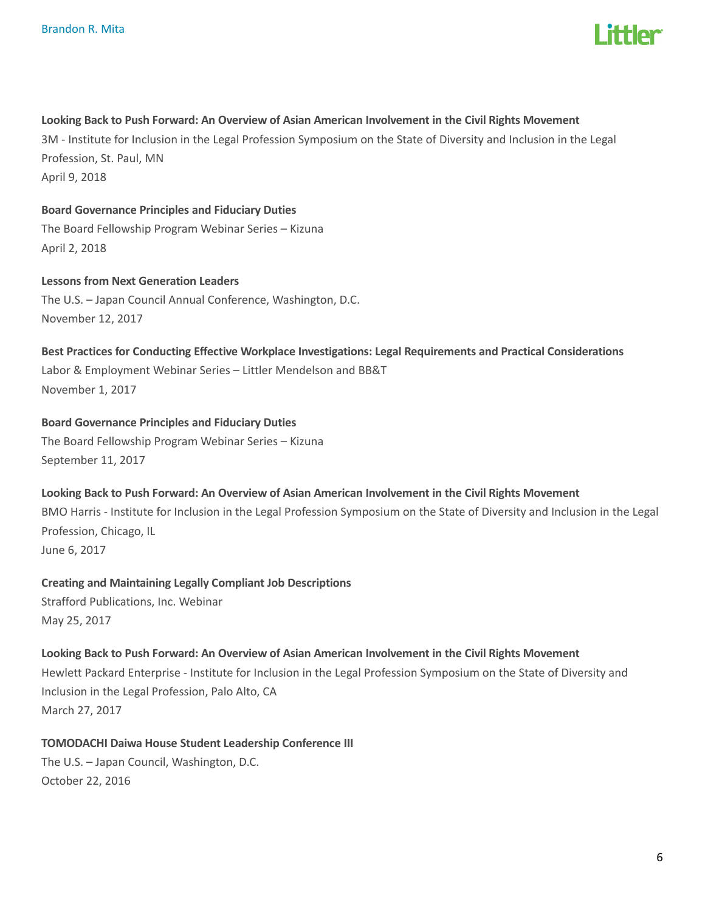

#### Looking Back to Push Forward: An Overview of Asian American Involvement in the Civil Rights Movement

3M - Institute for Inclusion in the Legal Profession Symposium on the State of Diversity and Inclusion in the Legal Profession, St. Paul, MN April 9, 2018

#### Board Governance Principles and Fiduciary Duties

The Board Fellowship Program Webinar Series – Kizuna April 2, 2018

# Lessons from Next Generation Leaders

The U.S. – Japan Council Annual Conference, Washington, D.C. November 12, 2017

Best Practices for Conducting Effective Workplace Investigations: Legal Requirements and Practical Considerations Labor & Employment Webinar Series – Littler Mendelson and BB&T November 1, 2017

#### Board Governance Principles and Fiduciary Duties

The Board Fellowship Program Webinar Series – Kizuna September 11, 2017

#### Looking Back to Push Forward: An Overview of Asian American Involvement in the Civil Rights Movement

BMO Harris - Institute for Inclusion in the Legal Profession Symposium on the State of Diversity and Inclusion in the Legal Profession, Chicago, IL

June 6, 2017

#### Creating and Maintaining Legally Compliant Job Descriptions

Strafford Publications, Inc. Webinar May 25, 2017

#### Looking Back to Push Forward: An Overview of Asian American Involvement in the Civil Rights Movement

Hewlett Packard Enterprise - Institute for Inclusion in the Legal Profession Symposium on the State of Diversity and Inclusion in the Legal Profession, Palo Alto, CA March 27, 2017

#### TOMODACHI Daiwa House Student Leadership Conference III

The U.S. – Japan Council, Washington, D.C. October 22, 2016